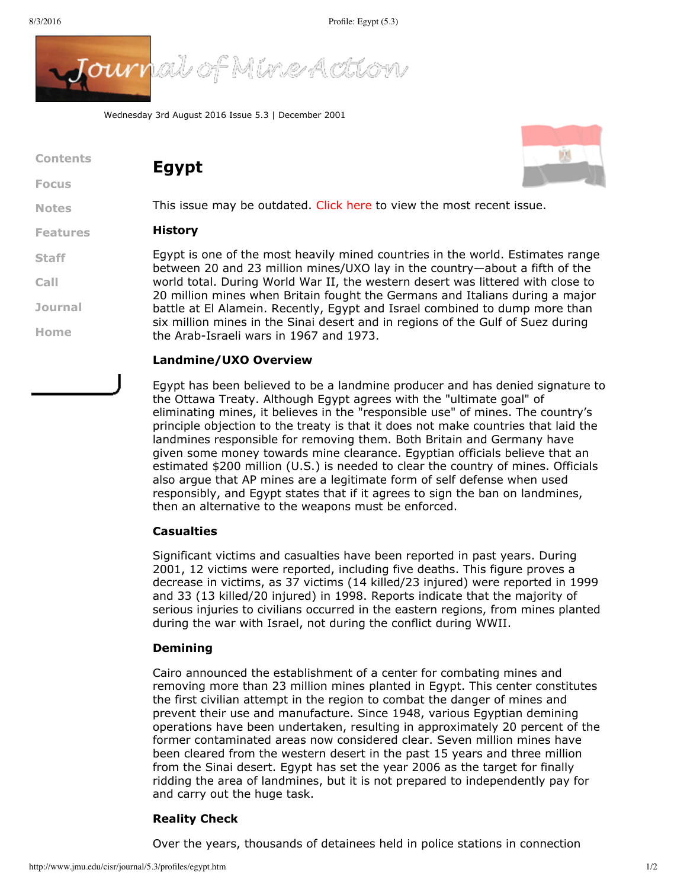

Wednesday 3rd August 2016 Issue 5.3 | December 2001

**Egypt**

| Contents     |  |
|--------------|--|
| <b>Focus</b> |  |
|              |  |

**[Notes](http://www.jmu.edu/cisr/journal/5.3/index.htm#notes)**

**[Staff](http://www.jmu.edu/cisr/staff/index.shtml)**

**[Call](http://www.jmu.edu/cisr/journal/cfps.shtml)**

**[Journal](http://www.jmu.edu/cisr/journal/past-issues.shtml)**

**[Home](http://www.jmu.edu/cisr/journal/5.3/index.htm)**

#### **[Features](http://www.jmu.edu/cisr/journal/5.3/index.htm#feature) History**

Egypt is one of the most heavily mined countries in the world. Estimates range between 20 and 23 million mines/UXO lay in the country—about a fifth of the world total. During World War II, the western desert was littered with close to 20 million mines when Britain fought the Germans and Italians during a major battle at El Alamein. Recently, Egypt and Israel combined to dump more than six million mines in the Sinai desert and in regions of the Gulf of Suez during the Arab-Israeli wars in 1967 and 1973.

This issue may be outdated. [Click](http://www.jmu.edu/cisr/journal/current.shtml) here to view the most recent issue.

## **Landmine/UXO Overview**

Egypt has been believed to be a landmine producer and has denied signature to the Ottawa Treaty. Although Egypt agrees with the "ultimate goal" of eliminating mines, it believes in the "responsible use" of mines. The country's principle objection to the treaty is that it does not make countries that laid the landmines responsible for removing them. Both Britain and Germany have given some money towards mine clearance. Egyptian officials believe that an estimated \$200 million (U.S.) is needed to clear the country of mines. Officials also argue that AP mines are a legitimate form of self defense when used responsibly, and Egypt states that if it agrees to sign the ban on landmines, then an alternative to the weapons must be enforced.

### **Casualties**

Significant victims and casualties have been reported in past years. During 2001, 12 victims were reported, including five deaths. This figure proves a decrease in victims, as 37 victims (14 killed/23 injured) were reported in 1999 and 33 (13 killed/20 injured) in 1998. Reports indicate that the majority of serious injuries to civilians occurred in the eastern regions, from mines planted during the war with Israel, not during the conflict during WWII.

### **Demining**

Cairo announced the establishment of a center for combating mines and removing more than 23 million mines planted in Egypt. This center constitutes the first civilian attempt in the region to combat the danger of mines and prevent their use and manufacture. Since 1948, various Egyptian demining operations have been undertaken, resulting in approximately 20 percent of the former contaminated areas now considered clear. Seven million mines have been cleared from the western desert in the past 15 years and three million from the Sinai desert. Egypt has set the year 2006 as the target for finally ridding the area of landmines, but it is not prepared to independently pay for and carry out the huge task.

# **Reality Check**

Over the years, thousands of detainees held in police stations in connection